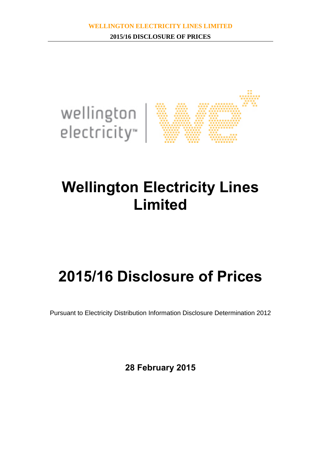

# **Wellington Electricity Lines Limited**

# **2015/16 Disclosure of Prices**

Pursuant to Electricity Distribution Information Disclosure Determination 2012

**28 February 2015**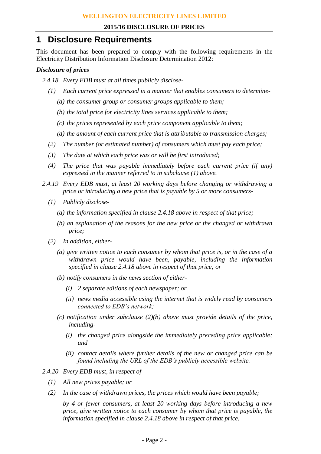### **1 Disclosure Requirements**

This document has been prepared to comply with the following requirements in the Electricity Distribution Information Disclosure Determination 2012:

#### *Disclosure of prices*

- *2.4.18 Every EDB must at all times publicly disclose-*
	- *(1) Each current price expressed in a manner that enables consumers to determine-*
		- *(a) the consumer group or consumer groups applicable to them;*
		- *(b) the total price for electricity lines services applicable to them;*
		- *(c) the prices represented by each price component applicable to them;*
		- *(d) the amount of each current price that is attributable to transmission charges;*
	- *(2) The number (or estimated number) of consumers which must pay each price;*
	- *(3) The date at which each price was or will be first introduced;*
	- *(4) The price that was payable immediately before each current price (if any) expressed in the manner referred to in subclause (1) above.*
- *2.4.19 Every EDB must, at least 20 working days before changing or withdrawing a price or introducing a new price that is payable by 5 or more consumers-*
	- *(1) Publicly disclose-*
		- *(a) the information specified in clause 2.4.18 above in respect of that price;*
		- *(b) an explanation of the reasons for the new price or the changed or withdrawn price;*
	- *(2) In addition, either-*
		- *(a) give written notice to each consumer by whom that price is, or in the case of a withdrawn price would have been, payable, including the information specified in clause 2.4.18 above in respect of that price; or*
		- *(b) notify consumers in the news section of either-*
			- *(i) 2 separate editions of each newspaper; or*
			- *(ii) news media accessible using the internet that is widely read by consumers connected to EDB's network;*
		- *(c) notification under subclause (2)(b) above must provide details of the price, including-*
			- *(i) the changed price alongside the immediately preceding price applicable; and*
			- *(ii) contact details where further details of the new or changed price can be found including the URL of the EDB's publicly accessible website.*
- *2.4.20 Every EDB must, in respect of-*
	- *(1) All new prices payable; or*
	- *(2) In the case of withdrawn prices, the prices which would have been payable;*

*by 4 or fewer consumers, at least 20 working days before introducing a new price, give written notice to each consumer by whom that price is payable, the information specified in clause 2.4.18 above in respect of that price.*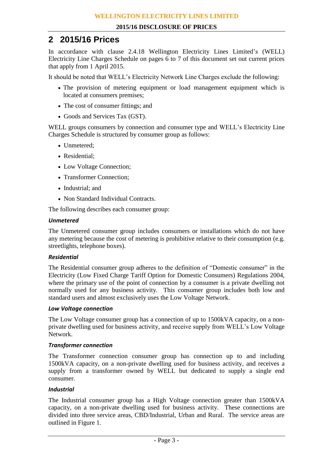### **2 2015/16 Prices**

In accordance with clause 2.4.18 Wellington Electricity Lines Limited's (WELL) Electricity Line Charges Schedule on pages 6 to 7 of this document set out current prices that apply from 1 April 2015.

It should be noted that WELL's Electricity Network Line Charges exclude the following:

- The provision of metering equipment or load management equipment which is located at consumers premises;
- The cost of consumer fittings; and
- Goods and Services Tax (GST).

WELL groups consumers by connection and consumer type and WELL's Electricity Line Charges Schedule is structured by consumer group as follows:

- Unmetered:
- Residential:
- Low Voltage Connection;
- Transformer Connection;
- Industrial: and
- Non Standard Individual Contracts.

The following describes each consumer group:

#### *Unmetered*

The Unmetered consumer group includes consumers or installations which do not have any metering because the cost of metering is prohibitive relative to their consumption (e.g. streetlights, telephone boxes).

#### *Residential*

The Residential consumer group adheres to the definition of "Domestic consumer" in the Electricity (Low Fixed Charge Tariff Option for Domestic Consumers) Regulations 2004, where the primary use of the point of connection by a consumer is a private dwelling not normally used for any business activity. This consumer group includes both low and standard users and almost exclusively uses the Low Voltage Network.

#### *Low Voltage connection*

The Low Voltage consumer group has a connection of up to 1500kVA capacity, on a nonprivate dwelling used for business activity, and receive supply from WELL's Low Voltage Network.

#### *Transformer connection*

The Transformer connection consumer group has connection up to and including 1500kVA capacity, on a non-private dwelling used for business activity, and receives a supply from a transformer owned by WELL but dedicated to supply a single end consumer.

#### *Industrial*

The Industrial consumer group has a High Voltage connection greater than 1500kVA capacity, on a non-private dwelling used for business activity. These connections are divided into three service areas, CBD/Industrial, Urban and Rural. The service areas are outlined in Figure 1.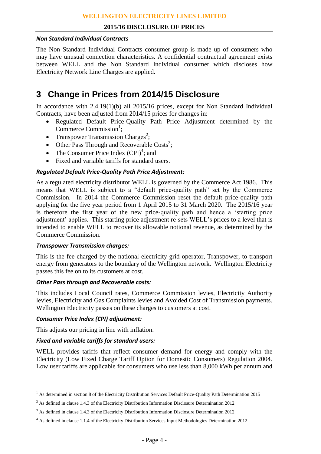#### **2015/16 DISCLOSURE OF PRICES**

#### *Non Standard Individual Contracts*

The Non Standard Individual Contracts consumer group is made up of consumers who may have unusual connection characteristics. A confidential contractual agreement exists between WELL and the Non Standard Individual consumer which discloses how Electricity Network Line Charges are applied.

## **3 Change in Prices from 2014/15 Disclosure**

In accordance with 2.4.19(1)(b) all 2015/16 prices, except for Non Standard Individual Contracts, have been adjusted from 2014/15 prices for changes in:

- Regulated Default Price-Quality Path Price Adjustment determined by the Commerce Commission<sup>1</sup>;
- Transpower Transmission Charges<sup>2</sup>;
- Other Pass Through and Recoverable Costs<sup>3</sup>;
- The Consumer Price Index  $(CPI)^4$ ; and
- Fixed and variable tariffs for standard users.

#### *Regulated Default Price-Quality Path Price Adjustment:*

As a regulated electricity distributor WELL is governed by the Commerce Act 1986. This means that WELL is subject to a "default price-quality path" set by the Commerce Commission. In 2014 the Commerce Commission reset the default price-quality path applying for the five year period from 1 April 2015 to 31 March 2020. The 2015/16 year is therefore the first year of the new price-quality path and hence a 'starting price adjustment' applies. This starting price adjustment re-sets WELL's prices to a level that is intended to enable WELL to recover its allowable notional revenue, as determined by the Commerce Commission.

#### *Transpower Transmission charges:*

This is the fee charged by the national electricity grid operator, Transpower, to transport energy from generators to the boundary of the Wellington network. Wellington Electricity passes this fee on to its customers at cost.

#### *Other Pass through and Recoverable costs:*

This includes Local Council rates, Commerce Commission levies, Electricity Authority levies, Electricity and Gas Complaints levies and Avoided Cost of Transmission payments. Wellington Electricity passes on these charges to customers at cost.

#### *Consumer Price Index (CPI) adjustment:*

 $\overline{a}$ 

This adjusts our pricing in line with inflation.

#### *Fixed and variable tariffs for standard users:*

WELL provides tariffs that reflect consumer demand for energy and comply with the Electricity (Low Fixed Charge Tariff Option for Domestic Consumers) Regulation 2004. Low user tariffs are applicable for consumers who use less than 8,000 kWh per annum and

<sup>&</sup>lt;sup>1</sup> As determined in section 8 of the Electricity Distribution Services Default Price-Quality Path Determination 2015

 $2$  As defined in clause 1.4.3 of the Electricity Distribution Information Disclosure Determination 2012

<sup>&</sup>lt;sup>3</sup> As defined in clause 1.4.3 of the Electricity Distribution Information Disclosure Determination 2012

<sup>4</sup> As defined in clause 1.1.4 of the Electricity Distribution Services Input Methodologies Determination 2012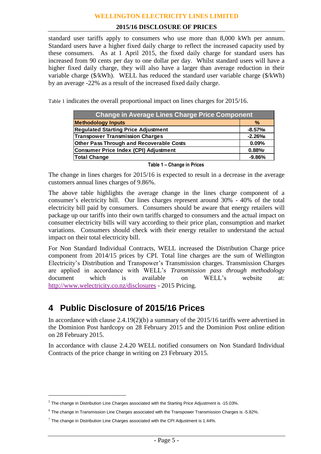#### **2015/16 DISCLOSURE OF PRICES**

standard user tariffs apply to consumers who use more than 8,000 kWh per annum. Standard users have a higher fixed daily charge to reflect the increased capacity used by these consumers. As at 1 April 2015, the fixed daily charge for standard users has increased from 90 cents per day to one dollar per day. Whilst standard users will have a higher fixed daily charge, they will also have a larger than average reduction in their variable charge (\$/kWh). WELL has reduced the standard user variable charge (\$/kWh) by an average -22% as a result of the increased fixed daily charge.

[Table 1](#page-4-0) indicates the overall proportional impact on lines charges for 2015/16.

| <b>Change in Average Lines Charge Price Component</b> |          |  |  |  |  |  |  |  |
|-------------------------------------------------------|----------|--|--|--|--|--|--|--|
| <b>Methodology Inputs</b>                             | $\%$     |  |  |  |  |  |  |  |
| <b>Regulated Starting Price Adjustment</b>            | $-8.57%$ |  |  |  |  |  |  |  |
| <b>Transpower Transmission Charges</b>                | $-2.26%$ |  |  |  |  |  |  |  |
| <b>Other Pass Through and Recoverable Costs</b>       | 0.09%    |  |  |  |  |  |  |  |
| Consumer Price Index (CPI) Adjustment                 | 0.88%    |  |  |  |  |  |  |  |
| Total Change                                          | $-9.86%$ |  |  |  |  |  |  |  |

**Table 1 – Change in Prices**

<span id="page-4-0"></span>The change in lines charges for 2015/16 is expected to result in a decrease in the average customers annual lines charges of 9.86%.

The above table highlights the average change in the lines charge component of a consumer's electricity bill. Our lines charges represent around 30% - 40% of the total electricity bill paid by consumers. Consumers should be aware that energy retailers will package up our tariffs into their own tariffs charged to consumers and the actual impact on consumer electricity bills will vary according to their price plan, consumption and market variations. Consumers should check with their energy retailer to understand the actual impact on their total electricity bill.

For Non Standard Individual Contracts, WELL increased the Distribution Charge price component from 2014/15 prices by CPI. Total line charges are the sum of Wellington Electricity's Distribution and Transpower's Transmission charges. Transmission Charges are applied in accordance with WELL's *Transmission pass through methodology* document which is available on WELL's website at: <http://www.welectricity.co.nz/disclosures> - 2015 Pricing.

## **4 Public Disclosure of 2015/16 Prices**

In accordance with clause 2.4.19(2)(b) a summary of the 2015/16 tariffs were advertised in the Dominion Post hardcopy on 28 February 2015 and the Dominion Post online edition on 28 February 2015.

In accordance with clause 2.4.20 WELL notified consumers on Non Standard Individual Contracts of the price change in writing on 23 February 2015.

 $\overline{a}$ 

 $<sup>5</sup>$  The change in Distribution Line Charges associated with the Starting Price Adjustment is -15.03%.</sup>

 $^6$  The change in Transmission Line Charges associated with the Transpower Transmission Charges is -5.82%.

 $^7$  The change in Distribution Line Charges associated with the CPI Adjustment is 1.44%.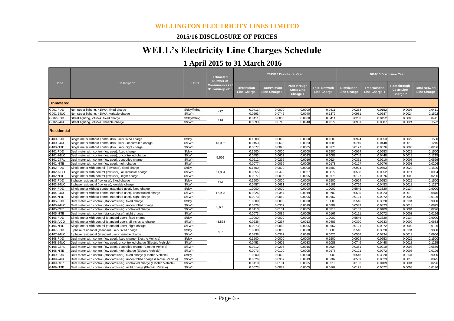#### **2015/16 DISCLOSURE OF PRICES**

## **WELL's Electricity Line Charges Schedule**

## **1 April 2015 to 31 March 2016**

| Code               | <b>Description</b>                                                              | <b>Units</b>   | <b>Estimated</b><br><b>Number</b> of<br>Consumers as a<br><b>31 January 2015</b> | 2015/16 Discolsure Year                   |                               |                                               |                                            | 2014/15 Discolsure Year                   |                               |                                               |                                            |
|--------------------|---------------------------------------------------------------------------------|----------------|----------------------------------------------------------------------------------|-------------------------------------------|-------------------------------|-----------------------------------------------|--------------------------------------------|-------------------------------------------|-------------------------------|-----------------------------------------------|--------------------------------------------|
|                    |                                                                                 |                |                                                                                  | <b>Distribution</b><br><b>Line Charge</b> | Transmission<br>Line Charge 1 | Pass-through<br><b>Costs Line</b><br>Charge 2 | <b>Total Network</b><br><b>Line Charge</b> | <b>Distribution</b><br><b>Line Charge</b> | Transmission<br>Line Charge 1 | Pass-through<br><b>Costs Line</b><br>Charge 2 | <b>Total Network</b><br><b>Line Charge</b> |
| Unmetered          |                                                                                 |                |                                                                                  |                                           |                               |                                               |                                            |                                           |                               |                                               |                                            |
| G001-FIXD          | Non street lighting, <1kVA, fixed charge                                        | \$/day/fitting |                                                                                  | 0.0411                                    | 0.0000                        | 0.0000                                        | 0.041                                      | 0.0253                                    | 0.0152                        | 0.0006                                        | 0.0411                                     |
| G001-24UC          | Non street lighting, <1kVA, variable charge                                     | \$/kWh         | 477                                                                              | 0.0593                                    | 0.0746                        | 0.0040                                        | 0.1379                                     | 0.0981                                    | 0.0587                        | 0.0024                                        | 0.1592                                     |
| G002-FIXD          | Street lighting, <1kVA, fixed charge                                            | \$/day/fitting |                                                                                  | 0.0411                                    | 0.0000                        | 0.0000                                        | 0.0411                                     | 0.0253                                    | 0.0152                        | 0.0006                                        | 0.0411                                     |
| G002-24UC          | Street lighting, <1kVA, variable charge                                         | \$/kWh         | 113                                                                              | 0.0593                                    | 0.0746                        | 0.0040                                        | 0.1379                                     | 0.0981                                    | 0.0587                        | 0.0024                                        | 0.1592                                     |
| <b>Residential</b> |                                                                                 |                |                                                                                  |                                           |                               |                                               |                                            |                                           |                               |                                               |                                            |
| G100-FIXD          | Single meter without control (low user), fixed charge                           | \$/day         |                                                                                  | 0.1500                                    | 0.0000                        | 0.0000                                        | 0.1500                                     | 0.0924                                    | 0.0553                        | 0.0022                                        | 0.1500                                     |
| G100-24UC          | Single meter without control (low user), uncontrolled charge                    | \$/kWh         | 18,092                                                                           | 0.0453                                    | 0.0602                        | 0.0033                                        | 0.1088                                     | 0.0749                                    | 0.0448                        | 0.0018                                        | 0.1215                                     |
| G100-NITE          | Single meter without control (low user), night charge                           | \$/kWh         |                                                                                  | 0.0077                                    | 0.0096                        | 0.0005                                        | 0.0178                                     | 0.0127                                    | 0.0076                        | 0.0003                                        | 0.0206                                     |
| G101-FIXD          | Dual meter with control (low user), fixed charge                                | \$/day         |                                                                                  | 0.1500                                    | 0.0000                        | 0.0000                                        | 0.1500                                     | 0.0924                                    | 0.0553                        | 0.0022                                        | 0.1500                                     |
| G101-24UC          | Dual meter with control (low user), uncontrolled charge                         | \$/kWh         | 5.526                                                                            | 0.0453                                    | 0.0602                        | 0.0033                                        | 0.1088                                     | 0.0749                                    | 0.0448                        | 0.0018                                        | 0.1215                                     |
| G101-CTRL          | Dual meter with control (low user), controlled charge                           | \$/kWh         |                                                                                  | 0.0212                                    | 0.0296                        | 0.0016                                        | 0.0524                                     | 0.0351                                    | 0.0210                        | 0.0008                                        | 0.0569                                     |
| G101-NITE          | Dual meter with control (low user), night charge                                | \$/kWh         |                                                                                  | 0.0077                                    | 0.0096                        | 0.0005                                        | 0.0178                                     | 0.0127                                    | 0.0076                        | 0.0003                                        | 0.0206                                     |
| G102-FIXD          | Single meter with control (low user), fixed charge                              | \$/day         |                                                                                  | 0.1500                                    | 0.0000                        | 0.0000                                        | 0.1500                                     | 0.0924                                    | 0.0553                        | 0.0022                                        | 0.1500                                     |
| G102-AICO          | Single meter with control (low user), all inclusive charge                      | \$/kWh         | 61,884                                                                           | 0.0355                                    | 0.0490                        | 0.0027                                        | 0.0872                                     | 0.0588                                    | 0.0352                        | 0.0014                                        | 0.0954                                     |
| G102-NITE          | Single meter with control (low user), night charge                              | \$/kWh         |                                                                                  | 0.0077                                    | 0.0096                        | 0.0005                                        | 0.0178                                     | 0.0127                                    | 0.0076                        | 0.0003                                        | 0.0206                                     |
| G103-FIXD          | 3 phase residential (low user), fixed charge                                    | \$/day         | 224                                                                              | 0.1500                                    | 0.0000                        | 0.0000                                        | 0.1500                                     | 0.0924                                    | 0.0553                        | 0.0022                                        | 0.1500                                     |
| G103-24UC          | 3 phase residential (low user), variable charge                                 | \$/kWh         |                                                                                  | 0.0457                                    | 0.0611                        | 0.0033                                        | 0.1101                                     | 0.0756                                    | 0.0453                        | 0.0018                                        | 0.1227                                     |
| G104-FIXD          | Single meter without control (standard user), fixed charge                      | \$/dav         |                                                                                  | 1.0000                                    | 0.0000                        | 0.0000                                        | 1.0000                                     | 0.5546                                    | 0.3320                        | 0.0134                                        | 0.9000                                     |
| G104-24UC          | Single meter without control (standard user), uncontrolled charge               | \$/kWh         | 12,933                                                                           | 0.0326                                    | 0.0357                        | 0.0019                                        | 0.0702                                     | 0.0539                                    | 0.0323                        | 0.0013                                        | 0.0875                                     |
| G104-NITE          | Single meter without control (standard user), night charge                      | \$/kWh         |                                                                                  | 0.0073                                    | 0.0089                        | 0.0005                                        | 0.0167                                     | 0.0121                                    | 0.0072                        | 0.0003                                        | 0.0196                                     |
| G105-FIXD          | Dual meter with control (standard user), fixed charge                           | \$/day         |                                                                                  | 1.0000                                    | 0.0000                        | 0.0000                                        | 1.0000                                     | 0.5546                                    | 0.3320                        | 0.0134                                        | 0.9000                                     |
| G105-24UC          | Dual meter with control (standard user), uncontrolled charge                    | \$/kWh         | 5,685                                                                            | 0.0326                                    | 0.0357                        | 0.0019                                        | 0.0702                                     | 0.0539                                    | 0.0323                        | 0.0013                                        | 0.0875                                     |
| G105-CTRL          | Dual meter with control (standard user), controlled charge                      | \$/kWh         |                                                                                  | 0.0110                                    | 0.0101                        | 0.0005                                        | 0.0216                                     | 0.0182                                    | 0.0109                        | 0.0004                                        | 0.0296                                     |
| G105-NITE          | Dual meter with control (standard user), night charge                           | \$/kWh         |                                                                                  | 0.0073                                    | 0.0089                        | 0.0005                                        | 0.0167                                     | 0.0121                                    | 0.0072                        | 0.0003                                        | 0.0196                                     |
| G106-FIXD          | Single meter with control (standard user), fixed charge                         | \$/day         |                                                                                  | 1.0000                                    | 0.0000                        | 0.0000                                        | 1.0000                                     | 0.5546                                    | 0.3320                        | 0.0134                                        | 0.9000                                     |
| G106-AICO          | Single meter with control (standard user), all inclusive charge                 | \$/kWh         | 43,868                                                                           | 0.0236                                    | 0.0237                        | 0.0013                                        | 0.0486                                     | 0.0390                                    | 0.0233                        | 0.0009                                        | 0.0633                                     |
| G106-NITE          | Single meter with control (standard user), night charge                         | \$/kWh         |                                                                                  | 0.0073                                    | 0.0089                        | 0.0005                                        | 0.0167                                     | 0.0121                                    | 0.0072                        | 0.0003                                        | 0.0196                                     |
| G107-FIXD          | 3 phase residential (standard user), fixed charge                               | \$/dav         | 507                                                                              | 1.0000                                    | 0.0000                        | 0.0000                                        | 1.0000                                     | 0.5546                                    | 0.3320                        | 0.0134                                        | 0.9000                                     |
| G107-24UC          | 3 phase residential (standard user), variable charge                            | \$/kWh         |                                                                                  | 0.0338                                    | 0.0367                        | 0.0020                                        | 0.0725                                     | 0.0558                                    | 0.0334                        | 0.0013                                        | 0.0906                                     |
| G108-FIXD          | Dual meter with control (low user), fixed charge (Electric Vehicle)             | \$/dav         |                                                                                  | 0.1500                                    | 0.0000                        | 0.0000                                        | 0.1500                                     | 0.0924                                    | 0.0553                        | 0.0022                                        | 0.1500                                     |
| G108-24UC          | Dual meter with control (low user), uncontrolled charge (Electric Vehicle)      | \$/kWh         |                                                                                  | 0.0453                                    | 0.0602                        | 0.0033                                        | 0.1088                                     | 0.0749                                    | 0.0448                        | 0.0018                                        | 0.1215                                     |
| G108-CTRL          | Dual meter with control (low user), controlled charge (Electric Vehicle)        | \$/kWh         |                                                                                  | 0.0212                                    | 0.0296                        | 0.0016                                        | 0.0524                                     | 0.035 <sup>′</sup>                        | 0.0210                        | 0.0008                                        | 0.0569                                     |
| G108-NITE          | Dual meter with control (low user), night charge (Electric Vehicle)             | \$/kWh         |                                                                                  | 0.0073                                    | 0.0100                        | 0.0005                                        | 0.0178                                     | 0.0121                                    | 0.0072                        | 0.0003                                        | 0.0196                                     |
| G109-FIXD          | Dual meter with control (standard user), fixed charge (Electric Vehicle)        | \$/day         |                                                                                  | 1.0000                                    | 0.0000                        | 0.0000                                        | 1.0000                                     | 0.5546                                    | 0.3320                        | 0.0134                                        | 0.9000                                     |
| G109-24UC          | Dual meter with control (standard user), uncontrolled charge (Electric Vehicle) | \$/kWh         |                                                                                  | 0.0326                                    | 0.0357                        | 0.0019                                        | 0.0702                                     | 0.0539                                    | 0.0323                        | 0.0013                                        | 0.0875                                     |
| G109-CTRL          | Dual meter with control (standard user), controlled charge (Electric Vehicle)   | \$/kWh         |                                                                                  | 0.0110                                    | 0.0101                        | 0.0005                                        | 0.0216                                     | 0.0182                                    | 0.0109                        | 0.0004                                        | 0.0296                                     |
| G109-NITE          | Dual meter with control (standard user), night charge (Electric Vehicle)        | \$/kWh         |                                                                                  | 0.0073                                    | 0.0089                        | 0.0005                                        | 0.0167                                     | 0.0121                                    | 0.0072                        | 0.0003                                        | 0.0196                                     |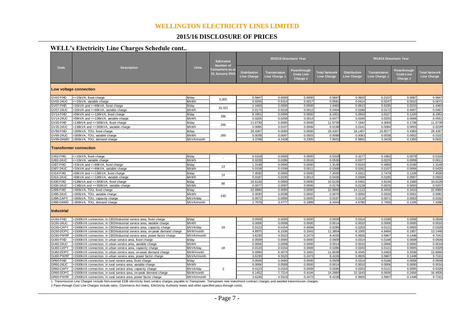#### **2015/16 DISCLOSURE OF PRICES**

#### **WELL's Electricity Line Charges Schedule cont..**

|                               | <b>Description</b>                                                                                                                                   | <b>Units</b>            | <b>Estimated</b><br>Number of<br>Consumers as at<br><b>31 January 2015</b> |                                           | 2015/16 Discolsure Year              |                                                      |                                            | 2014/15 Discolsure Year                   |                               |                                               |                                            |  |
|-------------------------------|------------------------------------------------------------------------------------------------------------------------------------------------------|-------------------------|----------------------------------------------------------------------------|-------------------------------------------|--------------------------------------|------------------------------------------------------|--------------------------------------------|-------------------------------------------|-------------------------------|-----------------------------------------------|--------------------------------------------|--|
| Code                          |                                                                                                                                                      |                         |                                                                            | <b>Distribution</b><br><b>Line Charge</b> | Transmission<br><b>Line Charge 1</b> | <b>Pass-through</b><br><b>Costs Line</b><br>Charge 2 | <b>Total Network</b><br><b>Line Charge</b> | <b>Distribution</b><br><b>Line Charge</b> | Transmission<br>Line Charge 1 | Pass-through<br><b>Costs Line</b><br>Charge 2 | <b>Total Network</b><br><b>Line Charge</b> |  |
| Low voltage connection        |                                                                                                                                                      |                         |                                                                            |                                           |                                      |                                                      |                                            |                                           |                               |                                               |                                            |  |
| GV02-FIXD                     | <=15kVA, fixed charge                                                                                                                                | \$/dav                  |                                                                            | 0.5847                                    | 0.0000                               | 0.0000                                               | 0.584                                      | 0.3603                                    | 0.2157                        | 0.0087                                        | 0.5847                                     |  |
| GV02-24UC                     | <=15kVA, variable charge                                                                                                                             | \$/kWh                  | 5,005                                                                      | 0.0250                                    | 0.0314                               | 0.0017                                               | 0.058                                      | 0.041                                     | 0.0247                        | 0.001                                         | 0.0671                                     |  |
| GV07-FIXD                     | >15kVA and <=69kVA, fixed charge                                                                                                                     | \$/day                  | 10.322                                                                     | 1.4463                                    | 0.0000                               | 0.0000                                               | 1.4463                                     | 0.891                                     | 0.5335                        | 0.0215                                        | 1.4463                                     |  |
| GV07-24UC                     | >15kVA and <=69kVA, variable charge                                                                                                                  | \$/kWh                  |                                                                            | 0.0174                                    | 0.0218                               | 0.0012                                               | 0.0404                                     | 0.0288                                    | 0.0172                        | 0.0007                                        | 0.0467                                     |  |
| GV14-FIXD                     | >69kVA and <=138kVA, fixed charge                                                                                                                    | \$/day                  | 396                                                                        | 8.1951                                    | 0.0000                               | 0.0000                                               | 8.1951                                     | 5.0503                                    | 3.0227                        | 0.1220                                        | 8.1951                                     |  |
| GV14-24UC                     | >69kVA and <=138kVA, variable charge                                                                                                                 | \$/kWh                  |                                                                            | 0.0205                                    | 0.0258                               | 0.0014                                               | 0.0477                                     | 0.0340                                    | 0.0203                        | 0.0008                                        | 0.0551                                     |  |
| GV30-FIXD                     | >138kVA and <= 300kVA, fixed charge                                                                                                                  | \$/day                  | 295                                                                        | 11.6739                                   | 0.0000                               | 0.0000                                               | 11.6739                                    | 7.1942                                    | 4.3059                        | 0.1738                                        | 11.6739                                    |  |
| GV30-24UC                     | 138kVA and <= 300kVA, variable charge                                                                                                                | \$/kWh                  |                                                                            | 0.0085                                    | 0.0107                               | 0.0006                                               | 0.0198                                     | 0.014'                                    | 0.0084                        | 0.0003                                        | 0.0228                                     |  |
| GV99-FIXD                     | 300kVA, TOU, fixed charge                                                                                                                            | \$/day                  |                                                                            | 29.4367                                   | 0.0000                               | 0.000C                                               | 29.4367                                    | 18.1407                                   | 10.8577                       | 0.4383                                        | 29.4367                                    |  |
| GV99-24UC                     | >300kVA, TOU, variable charge                                                                                                                        | \$/kWh                  | 260                                                                        | 0.0038                                    | 0.0047                               | 0.0003                                               | 0.0088                                     | 0.0063                                    | 0.0038                        | 0.0002                                        | 0.0102                                     |  |
| GV99-DAMD                     | >300kVA. TOU, demand charge                                                                                                                          | \$/kVA/month            |                                                                            | 3.3768                                    | 4.2428                               | 0.2305                                               | 7.8501                                     | 5.5852                                    | 3.3429                        | 0.1350                                        | 9.0631                                     |  |
| Transformer connection        |                                                                                                                                                      |                         |                                                                            |                                           |                                      |                                                      |                                            |                                           |                               |                                               |                                            |  |
| GX02-FIXD                     | <= 15kVA, fixed charge                                                                                                                               | \$/day                  |                                                                            | 0.5318                                    | 0.0000                               | 0.0000                                               | 0.5318                                     | 0.3277                                    | 0.1962                        | 0.0079                                        | 0.5318                                     |  |
| GX02-24UC                     | <=15kVA, variable charge                                                                                                                             | \$/kWh                  |                                                                            | 0.0228                                    | 0.0286                               | 0.0016                                               | 0.053                                      | 0.0377                                    | 0.0225                        | 0.0009                                        | 0.0611                                     |  |
| 3X07-FIXD                     | -15kVA and <=69kVA, fixed charge                                                                                                                     | \$/day                  | 13                                                                         | 1.3149                                    | 0.0000                               | 0.000C                                               | 1.3149                                     | 0.8103                                    | 0.4850                        | 0.0196                                        | 1.3149                                     |  |
| GX07-24UC                     | >15kVA and <=69kVA, variable charge                                                                                                                  | \$/kWh                  |                                                                            | 0.0158                                    | 0.0199                               | 0.0011                                               | 0.036                                      | 0.0262                                    | 0.0157                        | 0.0006                                        | 0.0425                                     |  |
| GX14-FIXD                     | >69kVA and <=138kVA, fixed charge                                                                                                                    | \$/day                  | 14                                                                         | 7.4500                                    | 0.0000                               | 0.0000                                               | 7.450                                      | 4.5912                                    | 2.7479                        | 0.1109                                        | 7.4500                                     |  |
| 3X14-24UC                     | >69kVA and <=138kVA, variable charge                                                                                                                 | \$/kWh                  |                                                                            | 0.0187                                    | 0.0235                               | 0.0013                                               | 0.0435                                     | 0.0309                                    | 0.0185                        | 0.0007                                        | 0.0502                                     |  |
| 3X30-FIXD                     | >138kVA and <= 300kVA, fixed charge                                                                                                                  | \$/day                  | 88                                                                         | 10.6126                                   | 0.0000                               | 0.0000                                               | 10.6126                                    | 6.5401                                    | 3.9144                        | 0.1580                                        | 10.6126                                    |  |
| GX30-24UC                     | >138kVA and <= 300kVA, variable charge                                                                                                               | \$/kWh                  |                                                                            | 0.0077                                    | 0.0097                               | 0.0005                                               | 0.017                                      | 0.0128                                    | 0.0076                        | 0.0003                                        | 0.0207                                     |  |
| 3X99-FIXD                     | >300kVA, TOU, fixed charge                                                                                                                           | \$/day                  |                                                                            | 22.8980                                   | 0.0000                               | 0.000C                                               | 22.8980                                    | 14.1112                                   | 8.4459                        | 0.3410                                        | 22.8980                                    |  |
| 3X99-24UC                     | 300kVA, TOU, variable charge                                                                                                                         | \$/kWh                  | 240                                                                        | 0.0030                                    | 0.0038                               | 0.0002                                               | 0.007                                      | 0.0050                                    | 0.0030                        | 0.0001                                        | 0.0081                                     |  |
| 3X99-CAPY                     | 300kVA, TOU, capacity charge                                                                                                                         | \$/kVA/day              |                                                                            | 0.0072                                    | 0.0090                               | 0.0005                                               | 0.0167                                     | 0.0118                                    | 0.0071                        | 0.0003                                        | 0.0192                                     |  |
| GX99-DAMD                     | >300kVA, TOU, demand charge                                                                                                                          | \$/kVA/month            |                                                                            | 2.7678                                    | 3.4777                               | 0.1889                                               | 6.4344                                     | 4.5780                                    | 2.7400                        | 0.1106                                        | 7.4286                                     |  |
| <b>Industrial</b>             |                                                                                                                                                      |                         |                                                                            |                                           |                                      |                                                      |                                            |                                           |                               |                                               |                                            |  |
| GC60-FIXD                     | >1500kVA connection, in CBD/Industrial service area, fixed charge                                                                                    | \$/day                  |                                                                            | 0.0509                                    | 0.0000                               | 0.000C                                               | 0.0509                                     | 0.0314                                    | 0.0188                        | 0.0008                                        | 0.0509                                     |  |
| 3C60-24UC<br>GC60-CAPY        | 1500kVA connection, in CBD/Industrial service area, variable charge                                                                                  | \$/kWh                  | 19                                                                         | 0.0006<br>0.0123                          | 0.0008                               | 0.0000<br>0.0008                                     | 0.001<br>0.0285                            | 0.001<br>0.0203                           | 0.0006                        | 0.0000                                        | 0.0016                                     |  |
|                               | 1500kVA connection, in CBD/Industrial service area, capacity charge                                                                                  | \$/kVA/dav              |                                                                            |                                           | 0.0154                               |                                                      |                                            |                                           | 0.0121<br>4.8484              | 0.0005<br>0.1957                              | 0.0329                                     |  |
| GC60-DOPC<br><b>GC60-PWRF</b> | 1500kVA connection, in CBD/Industrial service area, on-peak demand charge<br>1500kVA connection, in CBD/Industrial service area, power factor charge | \$/kW/month             |                                                                            | 4.8975<br>3.6230                          | 6.1536<br>4.5523                     | 0.3343<br>0.2473                                     | 11.385                                     | 8.100<br>5.9926                           | 3.5867                        | 0.1448                                        | 13.1446<br>9.7241                          |  |
| GU60-FIXD                     | >1500kVA connection, in urban service area, fixed charge                                                                                             | \$/kVAr/month<br>\$/day |                                                                            | 0.0509                                    | 0.0000                               | 0.000C                                               | 8.4226<br>0.0509                           | 0.0314                                    | 0.0188                        | 0.0008                                        | 0.0509                                     |  |
| GU60-24UC                     | 1500kVA connection, in urban service area, variable charge                                                                                           | \$/kWh                  | 18                                                                         | 0.0006                                    | 0.0008                               | 0.0000                                               | 0.001                                      | 0.001                                     | 0.0006                        | 0.0000                                        | 0.0016                                     |  |
| GU60-CAPY                     | 1500kVA connection, in urban service area, capacity charge                                                                                           | \$/kVA/dav              |                                                                            | 0.012                                     | 0.0154                               | 0.0008                                               | 0.028                                      | 0.020                                     | 0.012 <sup>2</sup>            | 0.0005                                        | 0.0329                                     |  |
| GU60-DOPC                     | 1500kVA connection, in urban service area, on-peak demand charge                                                                                     | \$/kW/month             |                                                                            | 5.0994                                    | 6.4073                               | 0.3481                                               | 11.8548                                    | 8.4345                                    | 5.0483                        | 0.2038                                        | 13.6866                                    |  |
| GU60-PWRF                     | 1500kVA connection, in urban service area, power factor charge                                                                                       | \$/kVAr/month           |                                                                            | 3.6230                                    | 4.5523                               | 0.2473                                               | 8.422                                      | 5.9926                                    | 3.5867                        | 0.1448                                        | 9.7241                                     |  |
| GR60-FIXD                     | 1500kVA connection, in rural service area, fixed charge                                                                                              | \$/day                  |                                                                            | 0.0509                                    | 0.0000                               | 0.0000                                               | 0.050                                      | 0.031                                     | 0.0188                        | 0.0008                                        | 0.0509                                     |  |
| GR60-24UC                     | >1500kVA connection, in rural service area, variable charge                                                                                          | \$/kWh                  |                                                                            | 0.0006                                    | 0.0008                               | 0.000C                                               | 0.0014                                     | 0.0010                                    | 0.0006                        | 0.0000                                        | 0.0016                                     |  |
| GR60-CAPY                     | 1500kVA connection, in rural service area, capacity charge                                                                                           | \$/kVA/day              | $\overline{2}$                                                             | 0.0123                                    | 0.0154                               | 0.0008                                               | 0.028                                      | 0.0203                                    | 0.0121                        | 0.0005                                        | 0.0329                                     |  |
| GR60-DOPC                     | >1500kVA connection, in rural service area, on-peak demand charge                                                                                    | \$/kW/month             |                                                                            | 6.1452                                    | 7.7214                               | 0.4194                                               | 14.2860                                    | 10.1643                                   | 6.0836                        | 0.2456                                        | 16.4935                                    |  |
| GR60-PWRF                     | >1500kVA connection, in rural service area, power factor charge                                                                                      | \$/kVAr/month           |                                                                            | 3.6230                                    | 4.5523                               | 0.2473                                               | 8.4226                                     | 5.9926                                    | 3.5867                        | 0.1448                                        | 9.7241                                     |  |
|                               |                                                                                                                                                      |                         |                                                                            |                                           |                                      |                                                      |                                            |                                           |                               |                                               |                                            |  |

1 Transmission Line Charges include Non-exempt EDB electricity lines service charges payable to Transpower, Transpower new investment contract charges and avoided transmission charges.

2 Pass-through Cost Line Charges include rates, Commerce Act levies, Electricity Authority levies and other specified pass-through costs.